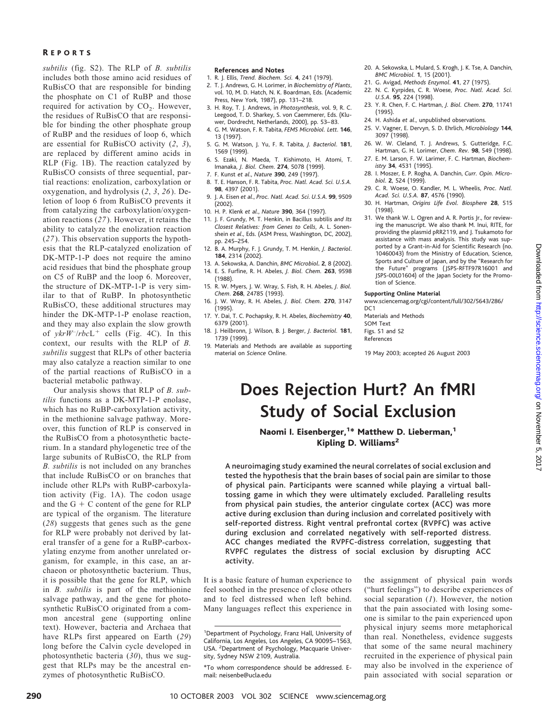*subtilis* (fig. S2). The RLP of *B. subtilis* includes both those amino acid residues of RuBisCO that are responsible for binding the phosphate on C1 of RuBP and those required for activation by  $CO<sub>2</sub>$ . However, the residues of RuBisCO that are responsible for binding the other phosphate group of RuBP and the residues of loop 6, which are essential for RuBisCO activity (*2*, *3*), are replaced by different amino acids in RLP (Fig. 1B). The reaction catalyzed by RuBisCO consists of three sequential, partial reactions: enolization, carboxylation or oxygenation, and hydrolysis (*2*, *3*, *26*). Deletion of loop 6 from RuBisCO prevents it from catalyzing the carboxylation/oxygenation reactions (*27*). However, it retains the ability to catalyze the enolization reaction (*27*). This observation supports the hypothesis that the RLP-catalyzed enolization of DK-MTP-1-P does not require the amino acid residues that bind the phosphate group on C5 of RuBP and the loop 6. Moreover, the structure of DK-MTP-1-P is very similar to that of RuBP. In photosynthetic RuBisCO, these additional structures may hinder the DK-MTP-1-P enolase reaction, and they may also explain the slow growth of  $ykrW^{-}/rbcL^{+}$  cells (Fig. 4C). In this context, our results with the RLP of *B. subtilis* suggest that RLPs of other bacteria may also catalyze a reaction similar to one of the partial reactions of RuBisCO in a bacterial metabolic pathway.

Our analysis shows that RLP of *B. subtilis* functions as a DK-MTP-1-P enolase, which has no RuBP-carboxylation activity, in the methionine salvage pathway. Moreover, this function of RLP is conserved in the RuBisCO from a photosynthetic bacterium. In a standard phylogenetic tree of the large subunits of RuBisCO, the RLP from *B. subtilis* is not included on any branches that include RuBisCO or on branches that include other RLPs with RuBP-carboxylation activity (Fig. 1A). The codon usage and the  $G + C$  content of the gene for RLP are typical of the organism. The literature (*28*) suggests that genes such as the gene for RLP were probably not derived by lateral transfer of a gene for a RuBP-carboxylating enzyme from another unrelated organism, for example, in this case, an archaeon or photosynthetic bacterium. Thus, it is possible that the gene for RLP, which in *B. subtilis* is part of the methionine salvage pathway, and the gene for photosynthetic RuBisCO originated from a common ancestral gene (supporting online text). However, bacteria and Archaea that have RLPs first appeared on Earth (*29*) long before the Calvin cycle developed in photosynthetic bacteria (*30*), thus we suggest that RLPs may be the ancestral enzymes of photosynthetic RuBisCO.

## **References and Notes**

- 1. R. J. Ellis, *Trend. Biochem. Sci.* **4**, 241 (1979).
- 2. T. J. Andrews, G. H. Lorimer, in *Biochemistry of Plants*, vol. 10, M. D. Hatch, N. K. Boardman, Eds. (Academic Press, New York, 1987), pp. 131–218.
- 3. H. Roy, T. J. Andrews, in *Photosynthesis*, vol. 9, R. C. Leegood, T. D. Sharkey, S. von Caemmerer, Eds. (Kluwer, Dordrecht, Netherlands, 2000), pp. 53– 83.
- 4. G. M. Watson, F. R. Tabita, *FEMS Microbiol. Lett*. **146**, 13 (1997).
- 5. G. M. Watson, J. Yu, F. R. Tabita, *J. Bacteriol*. **181**, 1569 (1999).
- 6. S. Ezaki, N. Maeda, T. Kishimoto, H. Atomi, T. Imanaka, *J. Biol. Chem*. **274**, 5078 (1999). 7. F. Kunst *et al*., *Nature* **390**, 249 (1997).
- 8. T. E. Hanson, F. R. Tabita, *Proc. Natl. Acad. Sci. U.S.A.* **98**, 4397 (2001).
- 9. J. A. Eisen *et al*., *Proc. Natl. Acad. Sci*. *U.S.A*. **99**, 9509 (2002).
- 10. H. P. Klenk *et al*., *Nature* **390**, 364 (1997).
- 11. J. F. Grundy, M. T. Henkin, in Bacillus subtilis *and Its Closest Relatives: from Genes to Cells*, A. L. Sonenshein *et al*., Eds. (ASM Press, Washington, DC, 2002), pp. 245–254.
- 12. B. A. Murphy, F. J. Grundy, T. M. Henkin, *J. Bacteriol*. **184**, 2314 (2002).
- 13. A. Sekowska, A. Danchin, *BMC Microbiol***. 2**, 8 (2002). 14. E. S. Furfine, R. H. Abeles, *J. Biol. Chem.* **263**, 9598 (1988).
- 15. R. W. Myers, J. W. Wray, S. Fish, R. H. Abeles, *J. Biol. Chem*. **268**, 24785 (1993).
- 16. J. W. Wray, R. H. Abeles, *J. Biol. Chem.* **270**, 3147 (1995).
- 17. Y. Dai, T. C. Pochapsky, R. H. Abeles, *Biochemistry* **40**, 6379 (2001).
- 18. J. Heilbronn, J. Wilson, B. J. Berger, *J. Bacteriol.* **181**, 1739 (1999).
- 19. Materials and Methods are available as supporting material on *Science* Online.
- 20. A. Sekowska, L. Mulard, S. Krogh, J. K. Tse, A. Danchin, *BMC Microbiol*. **1**, 15 (2001).
- 21. G. Avigad, *Methods Enzymol*. **41**, 27 (1975).
- 22. N. C. Kyrpides, C. R. Woese, *Proc. Natl. Acad. Sci. U.S.A*. **95**, 224 (1998).
- 23. Y. R. Chen, F. C. Hartman, *J. Biol. Chem*. **270**, 11741 (1995).
- 24. H. Ashida *et al*., unpublished observations.
- 25. V. Vagner, E. Dervyn, S. D. Ehrlich, *Microbiology* **144**, 3097 (1998).
- 26. W. W. Cleland, T. J. Andrews, S. Gutteridge, F.C. Hartman, G. H. Lorimer, *Chem. Rev.* **98**, 549 (1998). 27. E. M. Larson, F. W. Larimer, F. C. Hartman, *Biochem-*
- *istry* **34**, 4531 (1995). 28. I. Moszer, E. P. Rogha, A. Danchin, *Curr. Opin. Microbiol*. **2**, 524 (1999).
- 29. C. R. Woese, O. Kandler, M. L. Wheelis, *Proc. Natl. Acad. Sci. U.S.A.* **87**, 4576 (1990).
- 30. H. Hartman, *Origins Life Evol. Biosphere* **28**, 515 (1998).
- 31. We thank W. L. Ogren and A. R. Portis Jr., for reviewing the manuscript. We also thank M. Inui, RITE, for providing the plasmid pRR2119, and J. Tsukamoto for assistance with mass analysis. This study was supported by a Grant-in-Aid for Scientific Research (no. 10460043) from the Ministry of Education, Science, Sports and Culture of Japan, and by the "Research for the Future" programs ( JSPS-RFTF97R16001 and JSPS-00L01604) of the Japan Society for the Promotion of Science.

### **Supporting Online Material**

www.sciencemag.org/cgi/content/full/302/5643/286/ D<sub>C1</sub>

Materials and Methods SOM Text Figs. S1 and S2 References

19 May 2003; accepted 26 August 2003

# **Does Rejection Hurt? An fMRI Study of Social Exclusion**

Naomi I. Eisenberger,<sup>1\*</sup> Matthew D. Lieberman,<sup>1</sup> Kipling D. Williams<sup>2</sup>

A neuroimaging study examined the neural correlates of social exclusion and tested the hypothesis that the brain bases of social pain are similar to those of physical pain. Participants were scanned while playing a virtual balltossing game in which they were ultimately excluded. Paralleling results from physical pain studies, the anterior cingulate cortex (ACC) was more active during exclusion than during inclusion and correlated positively with self-reported distress. Right ventral prefrontal cortex (RVPFC) was active during exclusion and correlated negatively with self-reported distress. ACC changes mediated the RVPFC-distress correlation, suggesting that RVPFC regulates the distress of social exclusion by disrupting ACC activity.

It is a basic feature of human experience to feel soothed in the presence of close others and to feel distressed when left behind. Many languages reflect this experience in the assignment of physical pain words ("hurt feelings") to describe experiences of social separation (*1*). However, the notion that the pain associated with losing someone is similar to the pain experienced upon physical injury seems more metaphorical than real. Nonetheless, evidence suggests that some of the same neural machinery recruited in the experience of physical pain may also be involved in the experience of pain associated with social separation or

<sup>1</sup> Department of Psychology, Franz Hall, University of California, Los Angeles, Los Angeles, CA 90095–1563, USA. <sup>2</sup> Department of Psychology, Macquarie University, Sydney NSW 2109, Australia.

<sup>\*</sup>To whom correspondence should be addressed. Email: neisenbe@ucla.edu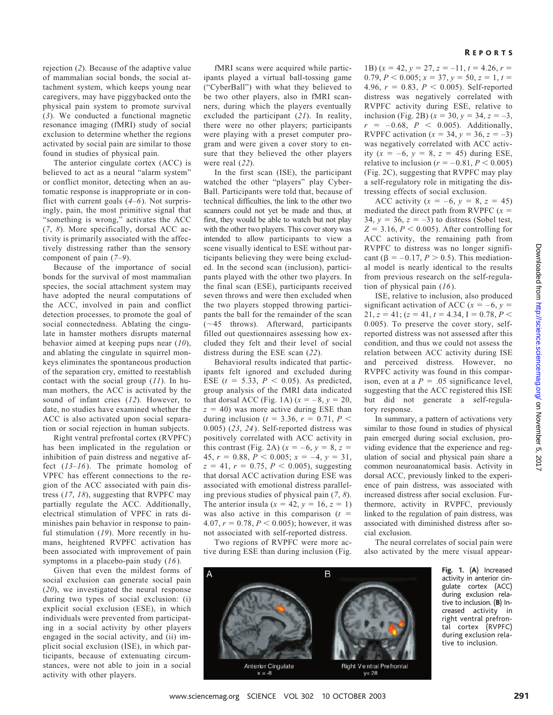rejection (*2*). Because of the adaptive value of mammalian social bonds, the social attachment system, which keeps young near caregivers, may have piggybacked onto the physical pain system to promote survival (*3*). We conducted a functional magnetic resonance imaging (fMRI) study of social exclusion to determine whether the regions activated by social pain are similar to those found in studies of physical pain.

The anterior cingulate cortex (ACC) is believed to act as a neural "alarm system" or conflict monitor, detecting when an automatic response is inappropriate or in conflict with current goals (*4*–*6*). Not surprisingly, pain, the most primitive signal that "something is wrong," activates the ACC (*7*, *8*). More specifically, dorsal ACC activity is primarily associated with the affectively distressing rather than the sensory component of pain (*7*–*9*).

Because of the importance of social bonds for the survival of most mammalian species, the social attachment system may have adopted the neural computations of the ACC, involved in pain and conflict detection processes, to promote the goal of social connectedness. Ablating the cingulate in hamster mothers disrupts maternal behavior aimed at keeping pups near (*10*), and ablating the cingulate in squirrel monkeys eliminates the spontaneous production of the separation cry, emitted to reestablish contact with the social group (*11*). In human mothers, the ACC is activated by the sound of infant cries (*12*). However, to date, no studies have examined whether the ACC is also activated upon social separation or social rejection in human subjects.

Right ventral prefrontal cortex (RVPFC) has been implicated in the regulation or inhibition of pain distress and negative affect (*13*–*16*). The primate homolog of VPFC has efferent connections to the region of the ACC associated with pain distress (*17*, *18*), suggesting that RVPFC may partially regulate the ACC. Additionally, electrical stimulation of VPFC in rats diminishes pain behavior in response to painful stimulation (*19*). More recently in humans, heightened RVPFC activation has been associated with improvement of pain symptoms in a placebo-pain study (*16*).

Given that even the mildest forms of social exclusion can generate social pain (*20*), we investigated the neural response during two types of social exclusion: (i) explicit social exclusion (ESE), in which individuals were prevented from participating in a social activity by other players engaged in the social activity, and (ii) implicit social exclusion (ISE), in which participants, because of extenuating circumstances, were not able to join in a social activity with other players.

fMRI scans were acquired while participants played a virtual ball-tossing game ("CyberBall") with what they believed to be two other players, also in fMRI scanners, during which the players eventually excluded the participant (*21*). In reality, there were no other players; participants were playing with a preset computer program and were given a cover story to ensure that they believed the other players were real (*22*).

In the first scan (ISE), the participant watched the other "players" play Cyber-Ball. Participants were told that, because of technical difficulties, the link to the other two scanners could not yet be made and thus, at first, they would be able to watch but not play with the other two players. This cover story was intended to allow participants to view a scene visually identical to ESE without participants believing they were being excluded. In the second scan (inclusion), participants played with the other two players. In the final scan (ESE), participants received seven throws and were then excluded when the two players stopped throwing participants the ball for the remainder of the scan (-45 throws). Afterward, participants filled out questionnaires assessing how excluded they felt and their level of social distress during the ESE scan (*22*).

Behavioral results indicated that participants felt ignored and excluded during ESE  $(t = 5.33, P < 0.05)$ . As predicted, group analysis of the fMRI data indicated that dorsal ACC (Fig. 1A)  $(x = -8, y = 20,$  $z = 40$ ) was more active during ESE than during inclusion ( $t = 3.36$ ,  $r = 0.71$ ,  $P <$ 0.005) (*23*, *24*). Self-reported distress was positively correlated with ACC activity in this contrast (Fig. 2A)  $(x = -6, y = 8, z =$ 45,  $r = 0.88$ ,  $P < 0.005$ ;  $x = -4$ ,  $y = 31$ ,  $z = 41$ ,  $r = 0.75$ ,  $P < 0.005$ ), suggesting that dorsal ACC activation during ESE was associated with emotional distress paralleling previous studies of physical pain (*7*, *8*). The anterior insula  $(x = 42, y = 16, z = 1)$ was also active in this comparison  $(t =$ 4.07,  $r = 0.78$ ,  $P < 0.005$ ); however, it was not associated with self-reported distress.

Two regions of RVPFC were more active during ESE than during inclusion (Fig.



1B)  $(x = 42, y = 27, z = -11, t = 4.26, r =$  $0.79, P \le 0.005; x = 37, y = 50, z = 1, t =$ 4.96,  $r = 0.83$ ,  $P < 0.005$ ). Self-reported distress was negatively correlated with RVPFC activity during ESE, relative to inclusion (Fig. 2B)  $(x = 30, y = 34, z = -3,$  $r = -0.68, P < 0.005$ . Additionally, RVPFC activation  $(x = 34, y = 36, z = -3)$ was negatively correlated with ACC activity  $(x = -6, y = 8, z = 45)$  during ESE, relative to inclusion ( $r = -0.81, P \le 0.005$ ) (Fig. 2C), suggesting that RVPFC may play a self-regulatory role in mitigating the distressing effects of social exclusion.

ACC activity  $(x = -6, y = 8, z = 45)$ mediated the direct path from RVPFC (*x* 34,  $y = 36$ ,  $z = -3$ ) to distress (Sobel test,  $Z = 3.16$ ,  $P < 0.005$ ). After controlling for ACC activity, the remaining path from RVPFC to distress was no longer significant ( $\beta = -0.17, P > 0.5$ ). This mediational model is nearly identical to the results from previous research on the self-regulation of physical pain (*16*).

ISE, relative to inclusion, also produced significant activation of ACC ( $x = -6$ ,  $y =$  $21, z = 41$ ;  $(z = 41, t = 4.34, I = 0.78, P <$ 0.005). To preserve the cover story, selfreported distress was not assessed after this condition, and thus we could not assess the relation between ACC activity during ISE and perceived distress. However, no RVPFC activity was found in this comparison, even at a  $P = .05$  significance level, suggesting that the ACC registered this ISE but did not generate a self-regulatory response.

In summary, a pattern of activations very similar to those found in studies of physical pain emerged during social exclusion, providing evidence that the experience and regulation of social and physical pain share a common neuroanatomical basis. Activity in dorsal ACC, previously linked to the experience of pain distress, was associated with increased distress after social exclusion. Furthermore, activity in RVPFC, previously linked to the regulation of pain distress, was associated with diminished distress after social exclusion.

The neural correlates of social pain were also activated by the mere visual appear-



**Fig. 1.** (**A**) Increased activity in anterior cingulate cortex (ACC) during exclusion relative to inclusion. (**B**) Increased activity in right ventral prefrontal cortex (RVPFC) during exclusion relative to inclusion.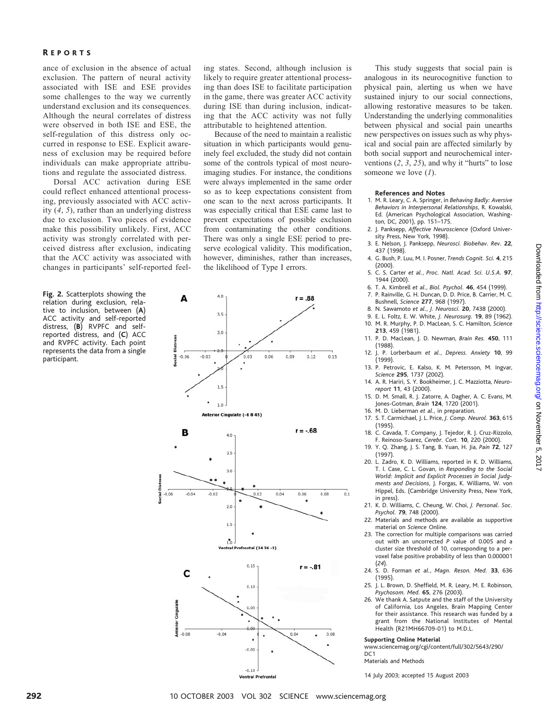## R EPORTS

ance of exclusion in the absence of actual exclusion. The pattern of neural activity associated with ISE and ESE provides some challenges to the way we currently understand exclusion and its consequences. Although the neural correlates of distress were observed in both ISE and ESE, the self-regulation of this distress only occurred in response to ESE. Explicit awareness of exclusion may be required before individuals can make appropriate attributions and regulate the associated distress.

Dorsal ACC activation during ESE could reflect enhanced attentional processing, previously associated with ACC activity (*4*, *5*), rather than an underlying distress due to exclusion. Two pieces of evidence make this possibility unlikely. First, ACC activity was strongly correlated with perceived distress after exclusion, indicating that the ACC activity was associated with changes in participants' self-reported feel-

Social Distr

**Fig. 2.** Scatterplots showing the relation during exclusion, relative to inclusion, between (**A**) ACC activity and self-reported distress, (**B**) RVPFC and selfreported distress, and (**C**) ACC and RVPFC activity. Each point represents the data from a single participant.

ing states. Second, although inclusion is likely to require greater attentional processing than does ISE to facilitate participation in the game, there was greater ACC activity during ISE than during inclusion, indicating that the ACC activity was not fully attributable to heightened attention.

Because of the need to maintain a realistic situation in which participants would genuinely feel excluded, the study did not contain some of the controls typical of most neuroimaging studies. For instance, the conditions were always implemented in the same order so as to keep expectations consistent from one scan to the next across participants. It was especially critical that ESE came last to prevent expectations of possible exclusion from contaminating the other conditions. There was only a single ESE period to preserve ecological validity. This modification, however, diminishes, rather than increases, the likelihood of Type I errors.

 $4.0$ A  $r = .88$  $3.5$  $3.0$ **Distress** iocial  $0.06$  $-0.03$  $0.03$  $0.06$  $0.09$  $0.12$  $0.15$  $1.5$  $1.0$ Anterior Cingulate (-6845)  $r = -.68$ B  $4.0$  $3.5$  $3.0$  $-0.04$  $0.04$  $-0.06$  $-0.02$  $0.08$  $0.1$  $0.02$  $0.06$  $2.0$  $1.5$  $\cdot$ ntal (34 36 -3)  $0.15$  $r = -.81$ C  $0.10$ Cinqulate  $0.05$ Anterior  $0.08$  $-0.04$  $0.04$  $0.08$  $-0.05$ 

This study suggests that social pain is analogous in its neurocognitive function to physical pain, alerting us when we have sustained injury to our social connections, allowing restorative measures to be taken. Understanding the underlying commonalities between physical and social pain unearths new perspectives on issues such as why physical and social pain are affected similarly by both social support and neurochemical interventions (*2*, *3*, *25*), and why it "hurts" to lose someone we love (*1*).

#### **References and Notes**

- 1. M. R. Leary, C. A. Springer, in *Behaving Badly: Aversive Behaviors in Interpersonal Relationships*, R. Kowalski, Ed. (American Psychological Association, Washington, DC, 2001), pp. 151–175.
- 2. J. Panksepp, *Affective Neuroscience* (Oxford University Press, New York, 1998).
- 3. E. Nelson, J. Panksepp, *Neurosci. Biobehav. Rev.* **22**, 437 (1998).
- 4. G. Bush, P. Luu, M. I. Posner, *Trends Cognit. Sci.* **4**, 215 (2000).
- 5. C. S. Carter *et al.*, *Proc. Natl. Acad. Sci. U.S.A.* **97**, 1944 (2000).
- 6. T. A. Kimbrell *et al.*, *Biol. Psychol.* **46**, 454 (1999).
- 7. P. Rainville, G. H. Duncan, D. D. Price, B. Carrier, M. C. Bushnell, *Science* **277**, 968 (1997).
- 8. N. Sawamoto *et al.*, *J. Neurosci.* **20**, 7438 (2000).
- 9. E. L. Foltz, E. W. White, *J. Neurosurg.* **19**, 89 (1962).
- 10. M. R. Murphy, P. D. MacLean, S. C. Hamilton, *Science* **213**, 459 (1981).
- 11. P. D. MacLean, J. D. Newman, *Brain Res.* **450**, 111 (1988).
- 12. J. P. Lorberbaum *et al.*, *Depress. Anxiety* **10**, 99 (1999).
- 13. P. Petrovic, E. Kalso, K. M. Petersson, M. Ingvar, *Science* **295**, 1737 (2002).
- 14. A. R. Hariri, S. Y. Bookheimer, J. C. Mazziotta, *Neuroreport* **11**, 43 (2000).
- 15. D. M. Small, R. J. Zatorre, A. Dagher, A. C. Evans, M. Jones-Gotman, *Brain* **124**, 1720 (2001).
- 16. M. D. Lieberman *et al.*, in preparation. 17. S. T. Carmichael, J. L. Price, *J. Comp. Neurol.* **363**, 615
- (1995). 18. C. Cavada, T. Company, J. Tejedor, R. J. Cruz-Rizzolo,
- F. Reinoso-Suarez, *Cerebr. Cort.* **10**, 220 (2000).
- 19. Y. Q. Zhang, J. S. Tang, B. Yuan, H. Jia, *Pain* **72**, 127 (1997).
- 20. L. Zadro, K. D. Williams, reported in K. D. Williams, T. I. Case, C. L. Govan, in *Responding to the Social World: Implicit and Explicit Processes in Social Judgments and Decisions*, J. Forgas, K. Williams, W. von Hippel, Eds. (Cambridge University Press, New York, in press).
- 21. K. D. Williams, C. Cheung, W. Choi, *J. Personal. Soc. Psychol.* **79**, 748 (2000).
- 22. Materials and methods are available as supportive material on *Science* Online.
- 23. The correction for multiple comparisons was carried out with an uncorrected *P* value of 0.005 and a cluster size threshold of 10, corresponding to a pervoxel false positive probability of less than 0.000001 (*24*).
- 24. S. D. Forman *et al.*, *Magn. Reson. Med.* **33**, 636 (1995)
- 25. J. L. Brown, D. Sheffield, M. R. Leary, M. E. Robinson, *Psychosom. Med.* **65**, 276 (2003).
- 26. We thank A. Satpute and the staff of the University of California, Los Angeles, Brain Mapping Center for their assistance. This research was funded by a grant from the National Institutes of Mental Health (R21MH66709-01) to M.D.L.

**Supporting Online Material**

www.sciencemag.org/cgi/content/full/302/5643/290/  $DC1$ 

Materials and Methods

14 July 2003; accepted 15 August 2003

 $-0.10$ **Ventral Prefr**